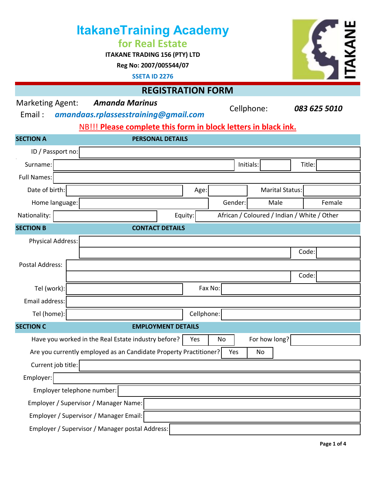|                                                                                                    |  | <b>ItakaneTraining Academy</b><br>for Real Estate<br><b>ITAKANE TRADING 156 (PTY) LTD</b><br>Reg No: 2007/005544/07<br><b>SSETA ID 2276</b> |            |                 |           |                        |                                             |  |  |  |
|----------------------------------------------------------------------------------------------------|--|---------------------------------------------------------------------------------------------------------------------------------------------|------------|-----------------|-----------|------------------------|---------------------------------------------|--|--|--|
| <b>REGISTRATION FORM</b>                                                                           |  |                                                                                                                                             |            |                 |           |                        |                                             |  |  |  |
| <b>Marketing Agent:</b><br><b>Amanda Marinus</b><br>Email:<br>amandaas.rplassesstraining@gmail.com |  |                                                                                                                                             |            | Cellphone:      |           |                        | 083 625 5010                                |  |  |  |
| NB!!! Please complete this form in block letters in black ink.                                     |  |                                                                                                                                             |            |                 |           |                        |                                             |  |  |  |
| <b>SECTION A</b>                                                                                   |  | <b>PERSONAL DETAILS</b>                                                                                                                     |            |                 |           |                        |                                             |  |  |  |
| ID / Passport no:                                                                                  |  |                                                                                                                                             |            |                 |           |                        |                                             |  |  |  |
| Surname:                                                                                           |  |                                                                                                                                             |            |                 | Initials: |                        | Title:                                      |  |  |  |
| Full Names:                                                                                        |  |                                                                                                                                             |            |                 |           |                        |                                             |  |  |  |
| Date of birth:                                                                                     |  |                                                                                                                                             | Age:       |                 |           | <b>Marital Status:</b> |                                             |  |  |  |
| Home language:                                                                                     |  |                                                                                                                                             |            | Gender:<br>Male |           |                        | Female                                      |  |  |  |
| Nationality:                                                                                       |  |                                                                                                                                             | Equity:    |                 |           |                        | African / Coloured / Indian / White / Other |  |  |  |
| <b>SECTION B</b>                                                                                   |  | <b>CONTACT DETAILS</b>                                                                                                                      |            |                 |           |                        |                                             |  |  |  |
| <b>Physical Address:</b>                                                                           |  |                                                                                                                                             |            |                 |           |                        |                                             |  |  |  |
|                                                                                                    |  |                                                                                                                                             |            |                 |           |                        | Code:                                       |  |  |  |
| Postal Address:                                                                                    |  |                                                                                                                                             |            |                 |           |                        |                                             |  |  |  |
| Tel (work):                                                                                        |  | Code:<br>Fax No:                                                                                                                            |            |                 |           |                        |                                             |  |  |  |
| Email address:                                                                                     |  |                                                                                                                                             |            |                 |           |                        |                                             |  |  |  |
| Tel (home):                                                                                        |  |                                                                                                                                             | Cellphone: |                 |           |                        |                                             |  |  |  |
| <b>SECTION C</b>                                                                                   |  | <b>EMPLOYMENT DETAILS</b>                                                                                                                   |            |                 |           |                        |                                             |  |  |  |
|                                                                                                    |  |                                                                                                                                             |            |                 |           |                        |                                             |  |  |  |
| Have you worked in the Real Estate industry before?<br>For how long?<br>Yes<br>No                  |  |                                                                                                                                             |            |                 |           |                        |                                             |  |  |  |
| Are you currently employed as an Candidate Property Practitioner?<br>Yes<br>No                     |  |                                                                                                                                             |            |                 |           |                        |                                             |  |  |  |
| Current job title:                                                                                 |  |                                                                                                                                             |            |                 |           |                        |                                             |  |  |  |
| Employer:                                                                                          |  |                                                                                                                                             |            |                 |           |                        |                                             |  |  |  |
| Employer telephone number:<br>Employer / Supervisor / Manager Name:                                |  |                                                                                                                                             |            |                 |           |                        |                                             |  |  |  |
| Employer / Supervisor / Manager Email:                                                             |  |                                                                                                                                             |            |                 |           |                        |                                             |  |  |  |
| Employer / Supervisor / Manager postal Address:                                                    |  |                                                                                                                                             |            |                 |           |                        |                                             |  |  |  |
|                                                                                                    |  |                                                                                                                                             |            |                 |           |                        |                                             |  |  |  |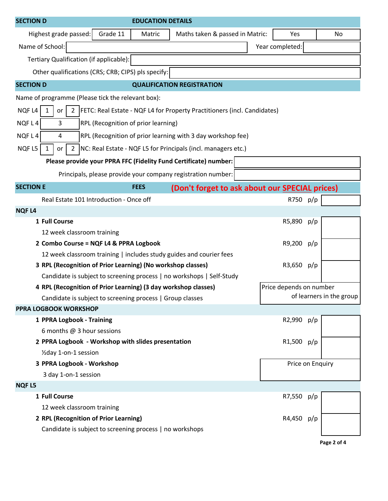| <b>SECTION D</b>                                                                                                                             | <b>EDUCATION DETAILS</b>                                      |                                                                       |                 |                  |  |  |  |  |  |  |
|----------------------------------------------------------------------------------------------------------------------------------------------|---------------------------------------------------------------|-----------------------------------------------------------------------|-----------------|------------------|--|--|--|--|--|--|
| Highest grade passed:                                                                                                                        | Grade 11<br>Matric                                            | Maths taken & passed in Matric:                                       | Yes             | No               |  |  |  |  |  |  |
| Name of School:                                                                                                                              |                                                               |                                                                       | Year completed: |                  |  |  |  |  |  |  |
| Tertiary Qualification (if applicable):                                                                                                      |                                                               |                                                                       |                 |                  |  |  |  |  |  |  |
| Other qualifications (CRS; CRB; CIPS) pls specify:                                                                                           |                                                               |                                                                       |                 |                  |  |  |  |  |  |  |
| <b>SECTION D</b>                                                                                                                             |                                                               | <b>QUALIFICATION REGISTRATION</b>                                     |                 |                  |  |  |  |  |  |  |
| Name of programme (Please tick the relevant box):                                                                                            |                                                               |                                                                       |                 |                  |  |  |  |  |  |  |
| NQF <sub>L4</sub><br><b>FETC: Real Estate - NQF L4 for Property Practitioners (incl. Candidates)</b><br>$\mathbf{1}$<br>$\overline{2}$<br>or |                                                               |                                                                       |                 |                  |  |  |  |  |  |  |
| NQFL4<br>3                                                                                                                                   | RPL (Recognition of prior learning)                           |                                                                       |                 |                  |  |  |  |  |  |  |
| NQFL4<br>RPL (Recognition of prior learning with 3 day workshop fee)<br>4                                                                    |                                                               |                                                                       |                 |                  |  |  |  |  |  |  |
| NQF <sub>L5</sub><br>$\overline{2}$<br>or                                                                                                    | NC: Real Estate - NQF L5 for Principals (incl. managers etc.) |                                                                       |                 |                  |  |  |  |  |  |  |
| Please provide your PPRA FFC (Fidelity Fund Certificate) number:                                                                             |                                                               |                                                                       |                 |                  |  |  |  |  |  |  |
|                                                                                                                                              |                                                               | Principals, please provide your company registration number:          |                 |                  |  |  |  |  |  |  |
| <b>SECTION E</b>                                                                                                                             | <b>FEES</b>                                                   | (Don't forget to ask about our <b>SPECIAL</b> prices)                 |                 |                  |  |  |  |  |  |  |
| Real Estate 101 Introduction - Once off                                                                                                      |                                                               |                                                                       | R750 p/p        |                  |  |  |  |  |  |  |
| <b>NQFL4</b>                                                                                                                                 |                                                               |                                                                       |                 |                  |  |  |  |  |  |  |
| 1 Full Course                                                                                                                                |                                                               |                                                                       | R5,890          | p/p              |  |  |  |  |  |  |
| 12 week classroom training                                                                                                                   |                                                               |                                                                       |                 |                  |  |  |  |  |  |  |
| 2 Combo Course = NQF L4 & PPRA Logbook                                                                                                       |                                                               |                                                                       | R9,200          | p/p              |  |  |  |  |  |  |
| 12 week classroom training   includes study guides and courier fees                                                                          |                                                               |                                                                       |                 |                  |  |  |  |  |  |  |
| 3 RPL (Recognition of Prior Learning) (No workshop classes)                                                                                  | R3,650                                                        | p/p                                                                   |                 |                  |  |  |  |  |  |  |
|                                                                                                                                              |                                                               | Candidate is subject to screening process   no workshops   Self-Study |                 |                  |  |  |  |  |  |  |
| 4 RPL (Recognition of Prior Learning) (3 day workshop classes)                                                                               | Price depends on number                                       |                                                                       |                 |                  |  |  |  |  |  |  |
| Candidate is subject to screening process   Group classes                                                                                    |                                                               | of learners in the group                                              |                 |                  |  |  |  |  |  |  |
| <b>PPRA LOGBOOK WORKSHOP</b>                                                                                                                 |                                                               |                                                                       |                 |                  |  |  |  |  |  |  |
| 1 PPRA Logbook - Training                                                                                                                    |                                                               |                                                                       | R2,990          | p/p              |  |  |  |  |  |  |
| 6 months @ 3 hour sessions                                                                                                                   |                                                               |                                                                       |                 |                  |  |  |  |  |  |  |
| 2 PPRA Logbook - Workshop with slides presentation                                                                                           |                                                               |                                                                       | R1,500 p/p      |                  |  |  |  |  |  |  |
| 1/2 day 1-on-1 session                                                                                                                       |                                                               |                                                                       |                 |                  |  |  |  |  |  |  |
| 3 PPRA Logbook - Workshop                                                                                                                    |                                                               |                                                                       |                 | Price on Enquiry |  |  |  |  |  |  |
| 3 day 1-on-1 session                                                                                                                         |                                                               |                                                                       |                 |                  |  |  |  |  |  |  |
| <b>NQFL5</b>                                                                                                                                 |                                                               |                                                                       |                 |                  |  |  |  |  |  |  |
| 1 Full Course                                                                                                                                |                                                               |                                                                       | R7,550 p/p      |                  |  |  |  |  |  |  |
| 12 week classroom training                                                                                                                   |                                                               |                                                                       |                 |                  |  |  |  |  |  |  |
| 2 RPL (Recognition of Prior Learning)                                                                                                        |                                                               |                                                                       | R4,450          | p/p              |  |  |  |  |  |  |
| Candidate is subject to screening process   no workshops                                                                                     |                                                               |                                                                       |                 |                  |  |  |  |  |  |  |

**Page 2 of 4**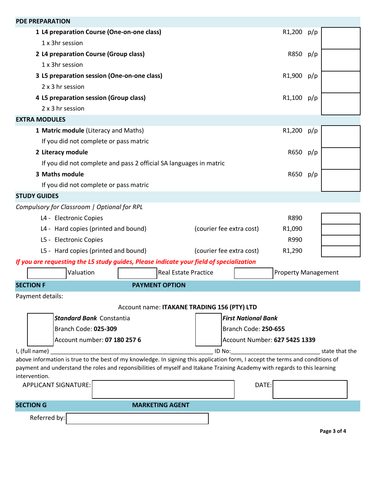| <b>PDE PREPARATION</b>                                                                                                                                                                                                                                                      |                                                 |                            |  |  |  |  |  |  |  |  |  |
|-----------------------------------------------------------------------------------------------------------------------------------------------------------------------------------------------------------------------------------------------------------------------------|-------------------------------------------------|----------------------------|--|--|--|--|--|--|--|--|--|
| 1 L4 preparation Course (One-on-one class)                                                                                                                                                                                                                                  | R1,200 p/p                                      |                            |  |  |  |  |  |  |  |  |  |
| 1 x 3hr session                                                                                                                                                                                                                                                             |                                                 |                            |  |  |  |  |  |  |  |  |  |
| 2 L4 preparation Course (Group class)                                                                                                                                                                                                                                       | R850 p/p                                        |                            |  |  |  |  |  |  |  |  |  |
| 1 x 3hr session                                                                                                                                                                                                                                                             |                                                 |                            |  |  |  |  |  |  |  |  |  |
| 3 L5 preparation session (One-on-one class)                                                                                                                                                                                                                                 | R1,900 p/p                                      |                            |  |  |  |  |  |  |  |  |  |
| 2 x 3 hr session                                                                                                                                                                                                                                                            |                                                 |                            |  |  |  |  |  |  |  |  |  |
| 4 L5 preparation session (Group class)                                                                                                                                                                                                                                      | R1,100 p/p                                      |                            |  |  |  |  |  |  |  |  |  |
| 2 x 3 hr session                                                                                                                                                                                                                                                            |                                                 |                            |  |  |  |  |  |  |  |  |  |
| <b>EXTRA MODULES</b>                                                                                                                                                                                                                                                        |                                                 |                            |  |  |  |  |  |  |  |  |  |
| 1 Matric module (Literacy and Maths)                                                                                                                                                                                                                                        | R1,200 p/p                                      |                            |  |  |  |  |  |  |  |  |  |
| If you did not complete or pass matric                                                                                                                                                                                                                                      |                                                 |                            |  |  |  |  |  |  |  |  |  |
| 2 Literacy module                                                                                                                                                                                                                                                           | R650 p/p                                        |                            |  |  |  |  |  |  |  |  |  |
| If you did not complete and pass 2 official SA languages in matric                                                                                                                                                                                                          |                                                 |                            |  |  |  |  |  |  |  |  |  |
| 3 Maths module                                                                                                                                                                                                                                                              | R650 p/p                                        |                            |  |  |  |  |  |  |  |  |  |
| If you did not complete or pass matric                                                                                                                                                                                                                                      |                                                 |                            |  |  |  |  |  |  |  |  |  |
| <b>STUDY GUIDES</b>                                                                                                                                                                                                                                                         |                                                 |                            |  |  |  |  |  |  |  |  |  |
| Compulsory for Classroom   Optional for RPL                                                                                                                                                                                                                                 |                                                 |                            |  |  |  |  |  |  |  |  |  |
| L4 - Electronic Copies                                                                                                                                                                                                                                                      | R890                                            |                            |  |  |  |  |  |  |  |  |  |
| L4 - Hard copies (printed and bound)                                                                                                                                                                                                                                        | (courier fee extra cost)<br>R <sub>1</sub> ,090 |                            |  |  |  |  |  |  |  |  |  |
| L5 - Electronic Copies                                                                                                                                                                                                                                                      | R990                                            |                            |  |  |  |  |  |  |  |  |  |
| L5 - Hard copies (printed and bound)                                                                                                                                                                                                                                        | (courier fee extra cost)<br>R <sub>1</sub> ,290 |                            |  |  |  |  |  |  |  |  |  |
| If you are requesting the L5 study guides, Please indicate your field of specialization                                                                                                                                                                                     |                                                 |                            |  |  |  |  |  |  |  |  |  |
| Valuation<br><b>Real Estate Practice</b>                                                                                                                                                                                                                                    |                                                 | <b>Property Management</b> |  |  |  |  |  |  |  |  |  |
| <b>SECTION F</b><br><b>PAYMENT OPTION</b>                                                                                                                                                                                                                                   |                                                 |                            |  |  |  |  |  |  |  |  |  |
| Payment details:                                                                                                                                                                                                                                                            |                                                 |                            |  |  |  |  |  |  |  |  |  |
| Account name: ITAKANE TRADING 156 (PTY) LTD                                                                                                                                                                                                                                 |                                                 |                            |  |  |  |  |  |  |  |  |  |
| <b>Standard Bank Constantia</b>                                                                                                                                                                                                                                             | <b>First National Bank</b>                      |                            |  |  |  |  |  |  |  |  |  |
| Branch Code: 025-309                                                                                                                                                                                                                                                        | Branch Code: 250-655                            |                            |  |  |  |  |  |  |  |  |  |
| Account number: 07 180 257 6                                                                                                                                                                                                                                                | Account Number: 627 5425 1339                   |                            |  |  |  |  |  |  |  |  |  |
| I, (full name)<br>ID No:<br>state that the                                                                                                                                                                                                                                  |                                                 |                            |  |  |  |  |  |  |  |  |  |
| above information is true to the best of my knowledge. In signing this application form, I accept the terms and conditions of<br>payment and understand the roles and reponsibilities of myself and Itakane Training Academy with regards to this learning<br>intervention. |                                                 |                            |  |  |  |  |  |  |  |  |  |
| <b>APPLICANT SIGNATURE:</b>                                                                                                                                                                                                                                                 | DATE:                                           |                            |  |  |  |  |  |  |  |  |  |
| <b>SECTION G</b><br><b>MARKETING AGENT</b>                                                                                                                                                                                                                                  |                                                 |                            |  |  |  |  |  |  |  |  |  |
| Referred by:                                                                                                                                                                                                                                                                |                                                 |                            |  |  |  |  |  |  |  |  |  |

**Page 3 of 4**